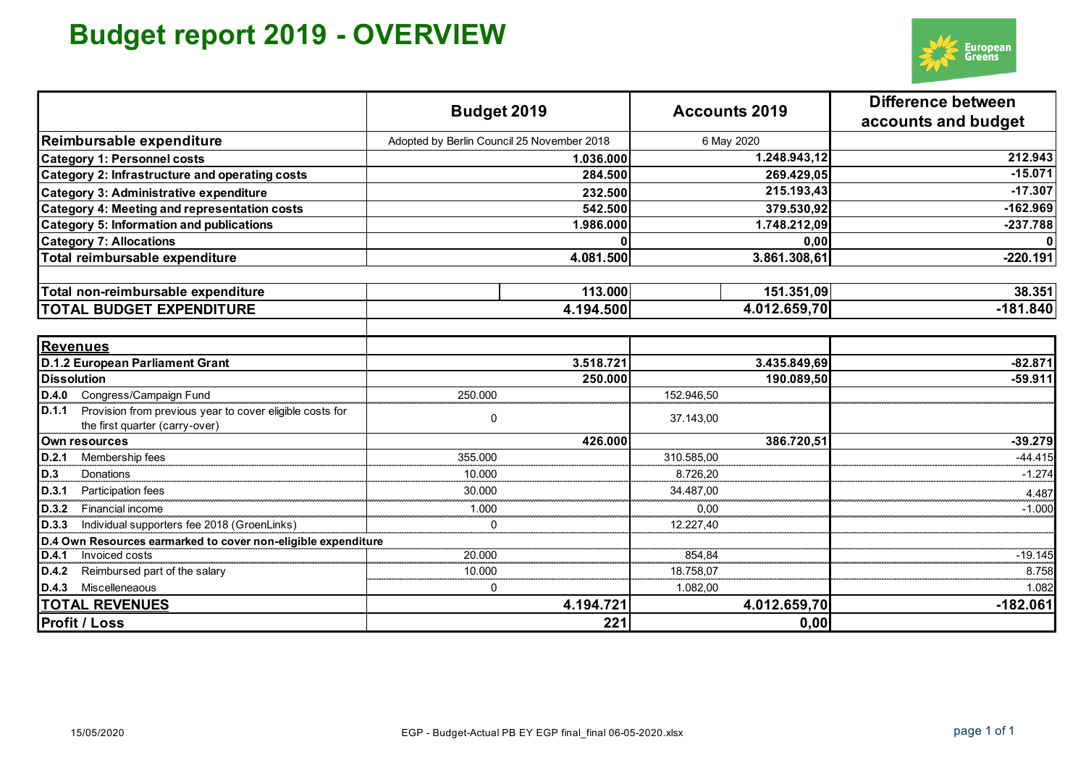# **Budget report 2019 - OVERVIEW**



|                                                                                                         | Budget 2019                                |           | <b>Accounts 2019</b> |              | Difference between<br>accounts and budget |
|---------------------------------------------------------------------------------------------------------|--------------------------------------------|-----------|----------------------|--------------|-------------------------------------------|
| Reimbursable expenditure                                                                                | Adopted by Berlin Council 25 November 2018 |           |                      | 6 May 2020   |                                           |
| <b>Category 1: Personnel costs</b>                                                                      |                                            | 1.036.000 |                      | 1.248.943,12 | 212.943                                   |
| Category 2: Infrastructure and operating costs                                                          |                                            | 284.500   |                      | 269.429,05   | $-15.071$                                 |
| Category 3: Administrative expenditure                                                                  |                                            | 232.500   |                      | 215.193,43   | $-17.307$                                 |
| <b>Category 4: Meeting and representation costs</b>                                                     |                                            | 542.500   |                      | 379.530,92   | $-162.969$                                |
| <b>Category 5: Information and publications</b>                                                         |                                            | 1.986.000 |                      | 1.748.212,09 | $-237.788$                                |
| <b>Category 7: Allocations</b>                                                                          |                                            |           |                      | 0,00         | $\mathbf{0}$                              |
| Total reimbursable expenditure                                                                          |                                            | 4.081.500 |                      | 3.861.308,61 | $-220.191$                                |
| Total non-reimbursable expenditure                                                                      |                                            | 113.000   |                      | 151.351,09   | 38.351                                    |
| <b>TOTAL BUDGET EXPENDITURE</b>                                                                         |                                            | 4.194.500 |                      | 4.012.659,70 | $-181.840$                                |
| <b>Revenues</b>                                                                                         |                                            |           |                      |              |                                           |
| <b>D.1.2 European Parliament Grant</b>                                                                  |                                            | 3.518.721 |                      | 3.435.849,69 | $-82.871$                                 |
| <b>Dissolution</b>                                                                                      |                                            | 250.000   |                      | 190.089,50   | $-59.911$                                 |
| D.4.0 Congress/Campaign Fund                                                                            | 250.000                                    |           | 152.946,50           |              |                                           |
| <b>D.1.1</b> Provision from previous year to cover eligible costs for<br>the first quarter (carry-over) | $\mathbf{0}$                               |           | 37.143,00            |              |                                           |
| Own resources                                                                                           |                                            | 426.000   |                      | 386.720,51   | $-39.279$                                 |
| D.2.1<br>Membership fees                                                                                | 355.000                                    |           | 310.585,00           |              | $-44.415$                                 |
| D.3<br>Donations                                                                                        | 10.000                                     |           | 8.726,20             |              | $-1.274$                                  |
| D.3.1<br><b>Participation fees</b>                                                                      | 30.000                                     |           | 34.487,00            |              | 4.487                                     |
| <b>D.3.2</b> Financial income                                                                           | 1.000                                      |           | 0,00                 |              | $-1.000$                                  |
| Individual supporters fee 2018 (GroenLinks)<br>D.3.3                                                    | $\mathbf{0}$                               |           | 12.227,40            |              |                                           |
| D.4 Own Resources earmarked to cover non-eligible expenditure                                           |                                            |           |                      |              |                                           |
| <b>D.4.1</b><br>Invoiced costs                                                                          | 20.000                                     |           | 854,84               |              | $-19.145$                                 |
| Reimbursed part of the salary<br>D.4.2                                                                  | 10.000                                     |           | 18.758,07            |              | 8.758                                     |
| Miscelleneaous<br><b>D.4.3</b>                                                                          | $\Omega$                                   |           | 1.082,00             |              | 1.082                                     |
| <b>TOTAL REVENUES</b>                                                                                   |                                            | 4.194.721 |                      | 4.012.659,70 | $-182.061$                                |
| <b>Profit / Loss</b>                                                                                    |                                            | 221       |                      | 0,00         |                                           |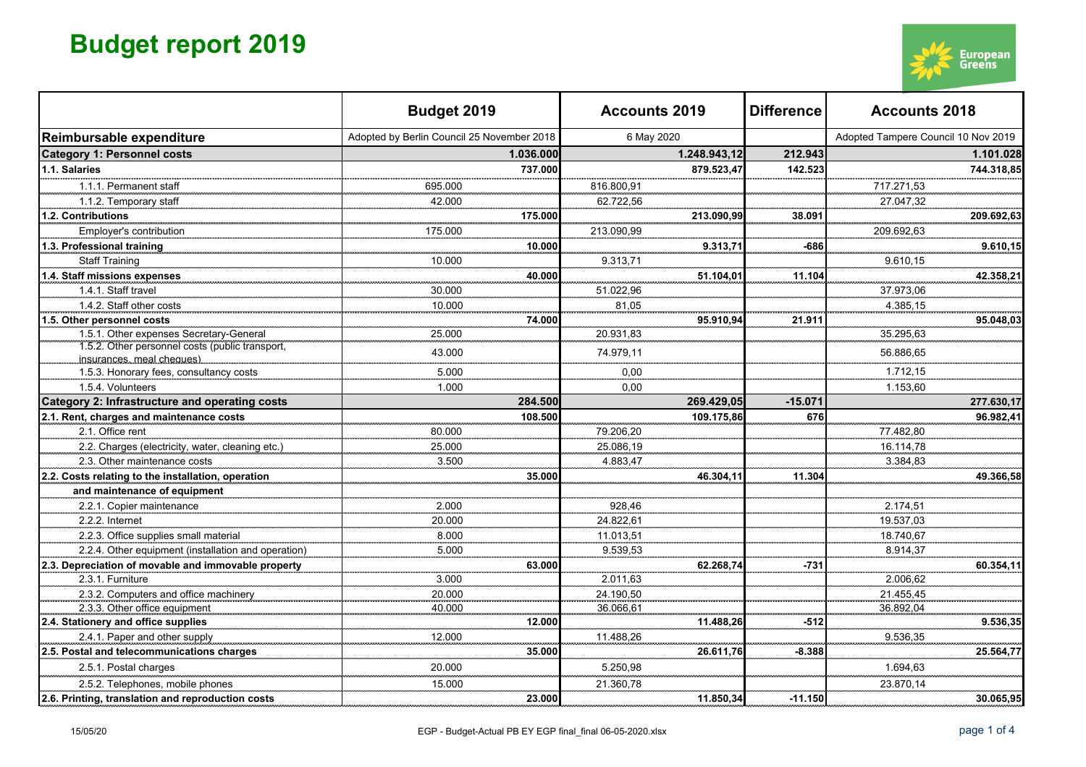

|                                                              | Budget 2019                                | <b>Accounts 2019</b> | <b>Difference</b> | <b>Accounts 2018</b>                |  |
|--------------------------------------------------------------|--------------------------------------------|----------------------|-------------------|-------------------------------------|--|
| Reimbursable expenditure                                     | Adopted by Berlin Council 25 November 2018 | 6 May 2020           |                   | Adopted Tampere Council 10 Nov 2019 |  |
| <b>Category 1: Personnel costs</b>                           | 1.036.000                                  | 1.248.943,12         | 212.943           | 1.101.028                           |  |
| 1.1. Salaries                                                | 737.000                                    | 879.523.47           | 142.523           | 744.318.85                          |  |
| 1.1.1. Permanent staff                                       | 695.000                                    | 816.800,91           |                   | 717.271.53                          |  |
| 1.1.2. Temporary staff                                       | 42.000                                     | 62.722.56            |                   | 27.047,32                           |  |
| 1.2. Contributions                                           | 175.000                                    | 213.090.99           | 38,091            | 209.692,63                          |  |
| Employer's contribution                                      | 175.000                                    | 213.090,99           |                   | 209.692,63                          |  |
| 1.3. Professional training                                   | 10.000                                     | 9.313,71             | $-686$            | 9.610,15                            |  |
| <b>Staff Training</b>                                        | 10.000                                     | 9.313,71             |                   | 9.610,15                            |  |
| 1.4. Staff missions expenses                                 | 40.000                                     | 51.104,01            | 11.104            | 42.358,21                           |  |
| 1.4.1. Staff travel                                          | 30.000                                     | 51.022,96            |                   | 37.973,06                           |  |
| 1.4.2. Staff other costs                                     | 10.000                                     | 81.05                |                   | 4.385,15                            |  |
| 1.5. Other personnel costs                                   | 74.000                                     | 95.910.94            | 21.911            | 95.048,03                           |  |
| 1.5.1. Other expenses Secretary-General                      | 25.000                                     | 20.931,83            |                   | 35.295,63                           |  |
| 1.5.2. Other personnel costs (public transport,              | 43.000                                     | 74.979.11            |                   | 56.886.65                           |  |
| insurances, meal cheques).                                   | 5.000                                      | 0.00                 |                   | 1.712,15                            |  |
| 1.5.3. Honorary fees, consultancy costs<br>1.5.4. Volunteers | 1.000                                      | 0.00                 |                   | 1.153,60                            |  |
| <b>Category 2: Infrastructure and operating costs</b>        | 284.500                                    | 269.429,05           | $-15.071$         | 277.630,17                          |  |
| 2.1. Rent, charges and maintenance costs                     | 108.500                                    | 109.175,86           | 676               | 96.982,41                           |  |
| 2.1. Office rent                                             | 80.000                                     | 79.206,20            |                   | 77.482,80                           |  |
| 2.2. Charges (electricity, water, cleaning etc.)             | 25.000                                     | 25.086.19            |                   | 16.114,78                           |  |
| 2.3. Other maintenance costs                                 | 3.500                                      | 4.883.47             |                   | 3.384,83                            |  |
| 2.2. Costs relating to the installation, operation           | 35.000                                     | 46.304.11            | 11.304            | 49.366,58                           |  |
| and maintenance of equipment                                 |                                            |                      |                   |                                     |  |
| 2.2.1. Copier maintenance                                    | 2.000                                      | 928,46               |                   | 2.174,51                            |  |
| 2.2.2. Internet                                              | 20.000                                     | 24.822,61            |                   | 19.537,03                           |  |
| 2.2.3. Office supplies small material                        | 8.000                                      | 11.013,51            |                   | 18.740,67                           |  |
| 2.2.4. Other equipment (installation and operation)          | 5.000                                      | 9.539,53             |                   | 8.914,37                            |  |
| 2.3. Depreciation of movable and immovable property          | 63.000                                     | 62.268,74            | $-731$            | 60.354,11                           |  |
| 2.3.1. Furniture                                             | 3.000                                      | 2.011,63             |                   | 2.006,62                            |  |
| 2.3.2. Computers and office machinery                        | 20.000                                     | 24.190,50            |                   | 21.455,45                           |  |
| 2.3.3. Other office equipment                                | 40.000                                     | 36.066,61            |                   | 36.892,04                           |  |
| 2.4. Stationery and office supplies                          | 12.000                                     | 11.488,26            | $-512$            | 9.536,35                            |  |
| 2.4.1. Paper and other supply                                | 12.000                                     | 11.488,26            |                   | 9.536,35                            |  |
| 2.5. Postal and telecommunications charges                   | 35.000                                     | 26.611,76            | $-8.388$          | 25.564,77                           |  |
| 2.5.1. Postal charges                                        | 20.000                                     | 5.250,98             |                   | 1.694,63                            |  |
| 2.5.2. Telephones, mobile phones                             | 15.000                                     | 21.360,78            |                   | 23.870,14                           |  |
| 2.6. Printing, translation and reproduction costs            | 23.000                                     | 11.850,34            | $-11.150$         | 30.065,95                           |  |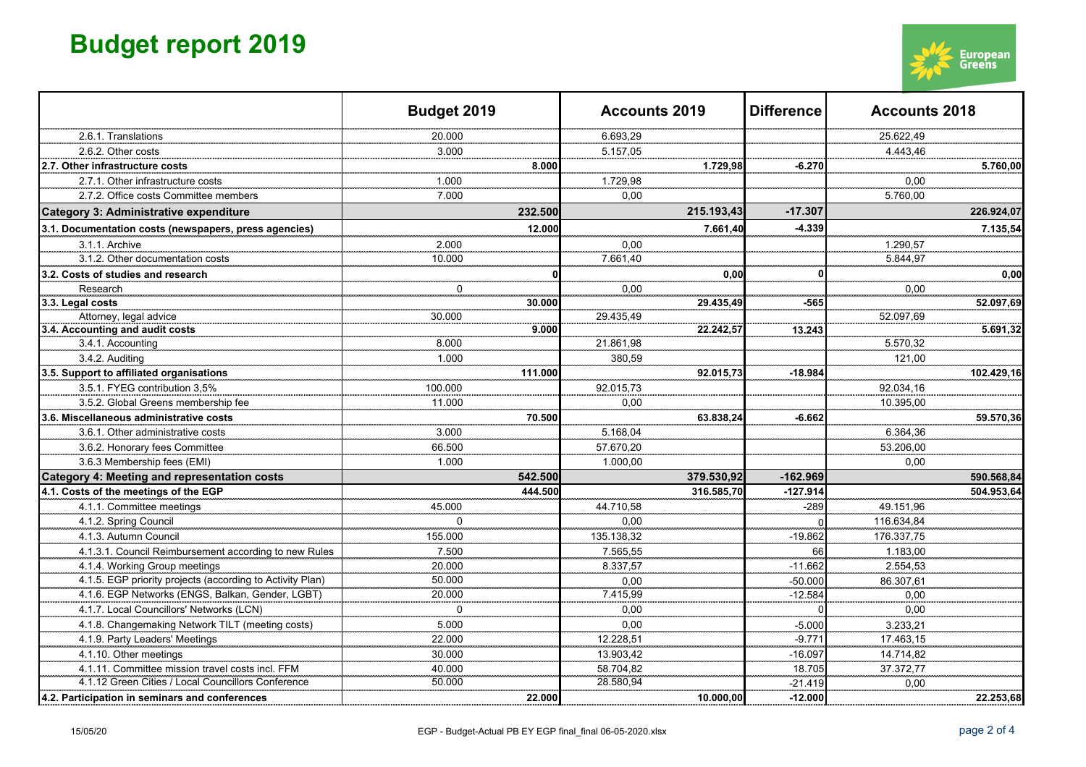

|                                                           | Budget 2019    | <b>Accounts 2019</b> | <b>Difference</b> | <b>Accounts 2018</b> |
|-----------------------------------------------------------|----------------|----------------------|-------------------|----------------------|
| 2.6.1. Translations                                       | 20.000         | 6.693,29             |                   | 25.622,49            |
| 2.6.2. Other costs                                        | 3.000          | 5.157,05             |                   | 4.443,46             |
| 2.7. Other infrastructure costs                           | 8.000          | 1.729,98             | $-6.270$          | 5.760,00             |
| 2.7.1. Other infrastructure costs                         | 1.000          | 1.729,98             |                   | 0,00                 |
| 2.7.2. Office costs Committee members                     | 7.000          | 0.00                 |                   | 5.760.00             |
| Category 3: Administrative expenditure                    | 232.500        | 215.193,43           | $-17.307$         | 226.924,07           |
| 3.1. Documentation costs (newspapers, press agencies)     | 12.000         | 7.661,40             | $-4.339$          | 7.135,54             |
| 3.1.1. Archive                                            | 2.000          | 0.00                 |                   | 1.290,57             |
| 3.1.2. Other documentation costs                          | 10.000         | 7.661.40             |                   | 5.844,97             |
| 3.2. Costs of studies and research                        |                | 0.00                 |                   | 0,00                 |
| Research                                                  | $\overline{0}$ | $_{\rm 0,00}$        |                   | 0,00                 |
| 3.3. Legal costs                                          | 30.000         | 29.435,49            | $-565$            | 52.097,69            |
| Attorney, legal advice                                    | 30.000         | 29.435,49            |                   | 52.097,69            |
| 3.4. Accounting and audit costs                           | 9.000          | 22.242,57            | 13.243            | 5.691,32             |
| 3.4.1. Accounting                                         | 8.000          | 21.861,98            |                   | 5.570,32             |
| 3.4.2. Auditing                                           | 1.000          | 380,59               |                   | 121,00               |
| 3.5. Support to affiliated organisations                  | 111.000        | 92.015,73            | $-18.984$         | 102.429,16           |
| 3.5.1. FYEG contribution 3,5%                             | 100.000        | 92.015,73            |                   | 92.034,16            |
| 3.5.2. Global Greens membership fee                       | 11.000         | 0.00                 |                   | 10.395,00            |
| 3.6. Miscellaneous administrative costs                   | 70.500         | 63.838.24            | $-6.662$          | 59.570,36            |
| 3.6.1. Other administrative costs                         | 3.000          | 5.168,04             |                   | 6.364,36             |
| 3.6.2. Honorary fees Committee                            | 66.500         | 57.670,20            |                   | 53.206,00            |
| 3.6.3 Membership fees (EMI)                               | 1.000          | 1.000,00             |                   | 0,00                 |
| Category 4: Meeting and representation costs              | 542.500        | 379.530,92           | $-162.969$        | 590.568,84           |
| 4.1. Costs of the meetings of the EGP                     | 444.500        | 316.585,70           | $-127.914$        | 504.953.64           |
| 4.1.1. Committee meetings                                 | 45.000         | 44.710,58            | $-289$            | 49.151,96            |
| 4.1.2. Spring Council                                     | $\Omega$       | 0.00                 |                   | 116.634,84           |
| 4.1.3. Autumn Council                                     | 155.000        | 135.138,32           | $-19.862$         | 176.337,75           |
| 4.1.3.1. Council Reimbursement according to new Rules     | 7.500          | 7.565.55             | 66                | 1.183.00             |
| 4.1.4. Working Group meetings                             | 20.000         | 8.337,57             | $-11.662$         | 2.554,53             |
| 4.1.5. EGP priority projects (according to Activity Plan) | 50.000         | 0,00                 | $-50.000$         | 86.307,61            |
| 4.1.6. EGP Networks (ENGS, Balkan, Gender, LGBT)          | 20.000         | 7.415,99             | $-12.584$         | 0,00                 |
| 4.1.7. Local Councillors' Networks (LCN)                  | 0              | 0,00                 |                   | 0,00                 |
| 4.1.8. Changemaking Network TILT (meeting costs)          | 5.000          | 0.00                 | $-5.000$          | 3.233,21             |
| 4.1.9. Party Leaders' Meetings                            | 22.000         | 12.228,51            | $-9.771$          | 17.463.15            |
| 4.1.10. Other meetings                                    | 30.000         | 13.903,42            | $-16.097$         | 14.714,82            |
| 4.1.11. Committee mission travel costs incl. FFM          | 40.000         | 58.704,82            | 18.705            | 37.372,77            |
| 4.1.12 Green Cities / Local Councillors Conference        | 50.000         | 28.580,94            | $-21.419$         | 0,00                 |
| 4.2. Participation in seminars and conferences            | 22.000         | 10.000,00            | $-12.000$         | 22.253,68            |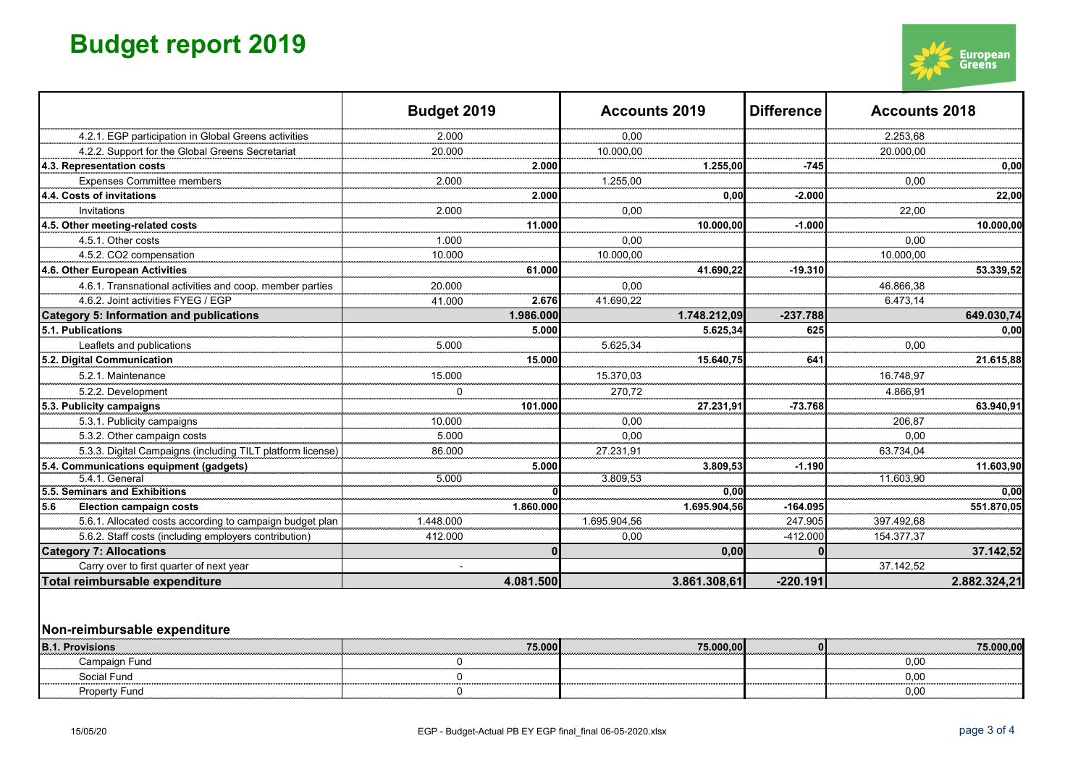

|                                                            | Budget 2019 |           | <b>Accounts 2019</b> |              | <b>Difference</b> | <b>Accounts 2018</b> |              |
|------------------------------------------------------------|-------------|-----------|----------------------|--------------|-------------------|----------------------|--------------|
| 4.2.1. EGP participation in Global Greens activities       | 2.000       |           | 0.00                 |              |                   | 2.253.68             |              |
| 4.2.2. Support for the Global Greens Secretariat           | 20.000      |           | 10.000,00            |              |                   | 20.000,00            |              |
| 4.3. Representation costs                                  |             | 2.000     |                      | 1.255,00     | $-745$            |                      | 0,00         |
| Expenses Committee members                                 | 2.000       |           | .255.00              |              |                   | 0.00                 |              |
| 4.4. Costs of invitations                                  |             | 2.000     |                      | 0.00         | $-2.000$          |                      | 22,00        |
| Invitations                                                | 2.000       |           | 0.00                 |              |                   | 22,00                |              |
| 4.5. Other meeting-related costs                           |             | 11.000    |                      | 10.000,00    | $-1.000$          |                      | 10.000,00    |
| 4.5.1. Other costs                                         | 1.000       |           | 0.00                 |              |                   | 0,00                 |              |
| 4.5.2. CO2 compensation                                    | 10.000      |           | 10.000.00            |              |                   | 10.000,00            |              |
| 4.6. Other European Activities                             |             | 61.000    |                      | 41.690.22    | $-19.310$         |                      | 53.339,52    |
| 4.6.1. Transnational activities and coop. member parties   | 20,000      |           | 0.00                 |              |                   | 46.866,38            |              |
| 4.6.2. Joint activities FYEG / EGP                         | 41.000      | 2.676     | 41.690,22            |              |                   | 6.473,14             |              |
| <b>Category 5: Information and publications</b>            |             | 1.986.000 |                      | 1.748.212,09 | $-237.788$        |                      | 649.030,74   |
| 5.1. Publications                                          |             | 5.000     |                      | 5.625.34     | 625               |                      | 0.00         |
| Leaflets and publications                                  | 5.000       |           | 5.625,34             |              |                   | 0,00                 |              |
| 5.2. Digital Communication                                 |             | 15.000    |                      | 15.640.75    | 641               |                      | 21.615,88    |
| 5.2.1. Maintenance                                         | 15.000      |           | 15.370.03            |              |                   | 16.748.97            |              |
| 5.2.2. Development                                         | $\Omega$    |           | 270.72               |              |                   | 4.866.91             |              |
| 5.3. Publicity campaigns                                   |             | 101.000   |                      | 27.231.91    | $-73.768$         |                      | 63.940,91    |
| 5.3.1. Publicity campaigns                                 | 10.000      |           | 0.00                 |              |                   | 206.87               |              |
| 5.3.2. Other campaign costs                                | 5.000       |           | 0.00                 |              |                   | 0.00                 |              |
| 5.3.3. Digital Campaigns (including TILT platform license) | 86.000      |           | 27.231,91            |              |                   | 63.734,04            |              |
| 5.4. Communications equipment (gadgets)                    |             | 5.000     |                      | 3.809.53     | $-1.190$          |                      | 11.603,90    |
| 5.4.1. General                                             | 5.000       |           | 3.809,53             |              |                   | 11.603,90            |              |
| 5.5. Seminars and Exhibitions                              |             |           |                      | 0,00         |                   |                      | 0,00         |
| 5.6<br><b>Election campaign costs</b>                      |             | 1.860.000 |                      | 1.695.904,56 | $-164.095$        |                      | 551.870,05   |
| 5.6.1. Allocated costs according to campaign budget plan   | 1.448.000   |           | 1.695.904,56         |              | 247.905           | 397.492,68           |              |
| 5.6.2. Staff costs (including employers contribution)      | 412.000     |           | 0.00                 |              | $-412.000$        | 154.377,37           |              |
| <b>Category 7: Allocations</b>                             |             |           |                      | 0,00         |                   |                      | 37.142,52    |
| Carry over to first quarter of next year                   |             |           |                      |              |                   | 37.142,52            |              |
| Total reimbursable expenditure                             |             | 4.081.500 |                      | 3.861.308,61 | $-220.191$        |                      | 2.882.324,21 |

#### **Non-reimbursable expenditure**

| ш | . | <b>STATE OF STATE OF STATE OF STATE OF STATE OF STATE OF STATE OF STATE OF STATE OF STATE OF STATE OF STATE OF S</b> |  |
|---|---|----------------------------------------------------------------------------------------------------------------------|--|
|   |   |                                                                                                                      |  |
|   |   |                                                                                                                      |  |
|   |   |                                                                                                                      |  |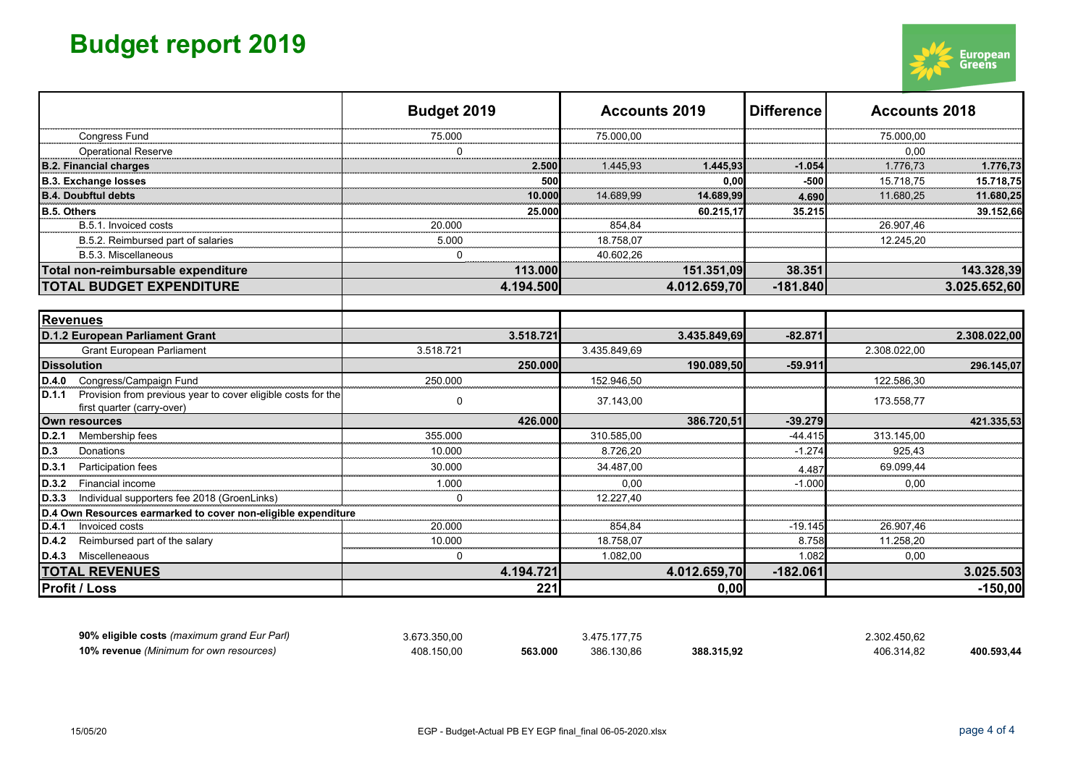

|                                                                                                     | Budget 2019 |                     | <b>Accounts 2019</b> |            |              |              | <b>Difference</b><br><b>Accounts 2018</b> |  |
|-----------------------------------------------------------------------------------------------------|-------------|---------------------|----------------------|------------|--------------|--------------|-------------------------------------------|--|
| <b>Congress Fund</b>                                                                                | 75.000      | 75.000,00           |                      |            | 75.000.00    |              |                                           |  |
| <b>Operational Reserve</b>                                                                          | 0           |                     |                      |            | 0,00         |              |                                           |  |
| <b>B.2. Financial charges</b>                                                                       |             | 1.445,93<br>2.500   | 1.445,93             | $-1.054$   | 1.776,73     | 1.776,73     |                                           |  |
| <b>B.3. Exchange losses</b>                                                                         |             | 500                 | 0,00                 | $-500$     | 15.718,75    | 15.718,75    |                                           |  |
| <b>B.4. Doubftul debts</b>                                                                          |             | 14.689.99<br>10.000 | 14.689,99            | 4.690      | 11.680,25    | 11.680,25    |                                           |  |
| <b>B.5. Others</b>                                                                                  |             | 25.000              | 60.215.17            | 35.215     |              | 39.152,66    |                                           |  |
| B.5.1. Invoiced costs                                                                               | 20.000      | 854,84              |                      |            | 26.907,46    |              |                                           |  |
| B.5.2. Reimbursed part of salaries                                                                  | 5.000       | 18.758,07           |                      |            | 12.245,20    |              |                                           |  |
| B.5.3. Miscellaneous                                                                                | 0           | 40.602,26           |                      |            |              |              |                                           |  |
| Total non-reimbursable expenditure                                                                  | 113.000     |                     | 151.351,09           | 38.351     |              | 143.328,39   |                                           |  |
| <b>TOTAL BUDGET EXPENDITURE</b>                                                                     | 4.194.500   |                     | 4.012.659,70         | $-181.840$ |              | 3.025.652,60 |                                           |  |
|                                                                                                     |             |                     |                      |            |              |              |                                           |  |
| <b>Revenues</b>                                                                                     |             |                     |                      |            |              |              |                                           |  |
| <b>D.1.2 European Parliament Grant</b>                                                              | 3.518.721   |                     | 3.435.849,69         | $-82.871$  |              | 2.308.022,00 |                                           |  |
| <b>Grant European Parliament</b>                                                                    | 3.518.721   | 3.435.849,69        |                      |            | 2.308.022,00 |              |                                           |  |
| <b>Dissolution</b>                                                                                  | 250,000     |                     | 190.089,50           | $-59.911$  |              | 296.145,07   |                                           |  |
| Congress/Campaign Fund<br>D.4.0                                                                     | 250.000     | 152.946,50          |                      |            | 122.586,30   |              |                                           |  |
| Provision from previous year to cover eligible costs for the<br>D.1.1<br>first quarter (carry-over) | 0           | 37.143,00           |                      |            | 173.558,77   |              |                                           |  |
| Own resources                                                                                       | 426.000     |                     | 386.720.51           | $-39.279$  |              | 421.335,53   |                                           |  |
| D.2.1<br>Membership fees                                                                            | 355.000     | 310.585,00          |                      | $-44.415$  | 313.145,00   |              |                                           |  |
| D.3<br>Donations                                                                                    | 10.000      | 8.726,20            |                      | $-1.274$   | 925,43       |              |                                           |  |
| D.3.1<br>Participation fees                                                                         | 30.000      | 34.487,00           |                      | 4.487      | 69.099,44    |              |                                           |  |
| Financial income<br>D.3.2                                                                           | 1.000       | 0.00                |                      | $-1.000$   | 0.00         |              |                                           |  |
| Individual supporters fee 2018 (GroenLinks)<br>D.3.3                                                | $\Omega$    | 12.227,40           |                      |            |              |              |                                           |  |
| D.4 Own Resources earmarked to cover non-eligible expenditure                                       |             |                     |                      |            |              |              |                                           |  |
| D.4.1<br>Invoiced costs                                                                             | 20.000      | 854,84              |                      | $-19.145$  | 26.907,46    |              |                                           |  |
| Reimbursed part of the salary<br>D.4.2                                                              | 10.000      | 18.758,07           |                      | 8.758      | 11.258,20    |              |                                           |  |
| D.4.3<br>Miscelleneaous                                                                             | U           | 1.082,00            |                      | 1.082      | 0,00         |              |                                           |  |
| <b>TOTAL REVENUES</b>                                                                               | 4.194.721   |                     | 4.012.659,70         | $-182.061$ |              | 3.025.503    |                                           |  |
| <b>Profit / Loss</b>                                                                                |             | 221                 | 0,00                 |            |              | $-150,00$    |                                           |  |

| 90% eligible costs (maximum grand Eur Parl)    | 3.673.350.00 |         | 3.475.177<br>. 13 |            | 2.302.450.62 |            |
|------------------------------------------------|--------------|---------|-------------------|------------|--------------|------------|
| <b>10% revenue</b> (Minimum for own resources) | 408.150.00   | 563.000 | 386.130.86        | 388.315.92 | 406.314,82   | 400.593,44 |